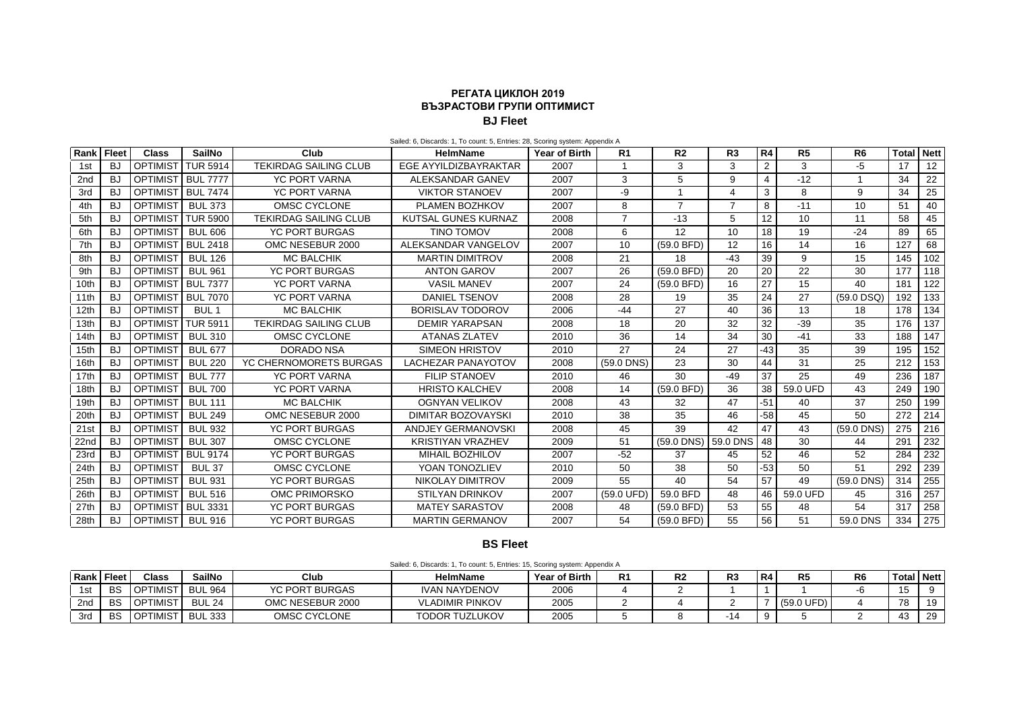## **РЕГАТА ЦИКЛОН 2019 ВЪЗРАСТОВИ ГРУПИ ОПТИМИСТ BJ Fleet**

| Rank Fleet       |           | <b>Class</b>         | <b>SailNo</b>    | Club                         | <b>HelmName</b>            | <b>Year of Birth</b> | R <sub>1</sub> | R <sub>2</sub>      | R3    | R <sub>4</sub> | R <sub>5</sub> | R <sub>6</sub> | <b>Total</b> | <b>Nett</b> |
|------------------|-----------|----------------------|------------------|------------------------------|----------------------------|----------------------|----------------|---------------------|-------|----------------|----------------|----------------|--------------|-------------|
| 1st              | <b>BJ</b> | OPTIMIST             | <b>TUR 5914</b>  | <b>TEKIRDAG SAILING CLUB</b> | EGE AYYILDIZBAYRAKTAR      | 2007                 | 1              | 3                   | 3     | 2              | 3              | -5             | 17           | 12          |
| 2 <sub>nd</sub>  | <b>BJ</b> | <b>OPTIMIST</b>      | <b>BUL 7777</b>  | <b>YC PORT VARNA</b>         | ALEKSANDAR GANEV           | 2007                 | 3              | 5                   | 9     | $\overline{4}$ | $-12$          |                | 34           | 22          |
| 3rd              | <b>BJ</b> | <b>OPTIMIST</b>      | <b>BUL 7474</b>  | <b>YC PORT VARNA</b>         | <b>VIKTOR STANOEV</b>      | 2007                 | -9             |                     | Δ     | 3              | 8              | 9              | 34           | 25          |
| 4th              | <b>BJ</b> | OPTIMIS <sup>-</sup> | <b>BUL 373</b>   | OMSC CYCLONE                 | PLAMEN BOZHKOV             | 2007                 | 8              | $\overline{7}$      | 7     | 8              | $-11$          | 10             | 51           | 40          |
| 5th              | <b>BJ</b> | <b>OPTIMIST</b>      | <b>TUR 5900</b>  | <b>TEKIRDAG SAILING CLUB</b> | <b>KUTSAL GUNES KURNAZ</b> | 2008                 | $\overline{7}$ | $-13$               | 5     | 12             | 10             | 11             | 58           | 45          |
| 6th              | <b>BJ</b> | <b>OPTIMIST</b>      | <b>BUL 606</b>   | <b>YC PORT BURGAS</b>        | <b>TINO TOMOV</b>          | 2008                 | 6              | 12                  | 10    | 18             | 19             | $-24$          | 89           | 65          |
| 7th              | <b>BJ</b> | <b>OPTIMIST</b>      | <b>BUL 2418</b>  | OMC NESEBUR 2000             | ALEKSANDAR VANGELOV        | 2007                 | 10             | (59.0 BFD)          | 12    | 16             | 14             | 16             | 127          | 68          |
| 8th              | <b>BJ</b> | OPTIMIST             | <b>BUL 126</b>   | <b>MC BALCHIK</b>            | <b>MARTIN DIMITROV</b>     | 2008                 | 21             | 18                  | $-43$ | 39             | 9              | 15             | 145          | 102         |
| 9th              | <b>BJ</b> | <b>OPTIMIST</b>      | <b>BUL 961</b>   | <b>YC PORT BURGAS</b>        | <b>ANTON GAROV</b>         | 2007                 | 26             | (59.0 BFD)          | 20    | 20             | 22             | 30             | 177          | 118         |
| 10th             | <b>BJ</b> | <b>OPTIMIST</b>      | <b>BUL 7377</b>  | <b>YC PORT VARNA</b>         | <b>VASIL MANEV</b>         | 2007                 | 24             | (59.0 BFD)          | 16    | 27             | 15             | 40             | 181          | 122         |
| 11th             | <b>BJ</b> | <b>OPTIMIST</b>      | <b>BUL 7070</b>  | <b>YC PORT VARNA</b>         | <b>DANIEL TSENOV</b>       | 2008                 | 28             | 19                  | 35    | 24             | 27             | $(59.0$ DSQ)   | 192          | 133         |
| 12 <sub>th</sub> | <b>BJ</b> | <b>OPTIMIST</b>      | BUL <sub>1</sub> | <b>MC BALCHIK</b>            | <b>BORISLAV TODOROV</b>    | 2006                 | $-44$          | 27                  | 40    | 36             | 13             | 18             | 178          | 134         |
| 13th             | BJ        | <b>OPTIMIST</b>      | <b>TUR 5911</b>  | <b>TEKIRDAG SAILING CLUB</b> | <b>DEMIR YARAPSAN</b>      | 2008                 | 18             | 20                  | 32    | 32             | $-39$          | 35             | 176          | 137         |
| 14 <sub>th</sub> | BJ        | OPTIMIST             | <b>BUL 310</b>   | OMSC CYCLONE                 | <b>ATANAS ZLATEV</b>       | 2010                 | 36             | 14                  | 34    | 30             | $-41$          | 33             | 188          | 147         |
| 15th             | <b>BJ</b> | OPTIMIST             | <b>BUL 677</b>   | DORADO NSA                   | SIMEON HRISTOV             | 2010                 | 27             | 24                  | 27    | -43            | 35             | 39             | 195          | 152         |
| 16th             | <b>BJ</b> | OPTIMIST             | <b>BUL 220</b>   | YC CHERNOMORETS BURGAS       | <b>LACHEZAR PANAYOTOV</b>  | 2008                 | $(59.0$ DNS)   | 23                  | 30    | 44             | 31             | 25             | 212          | 153         |
| 17th             | BJ        | OPTIMIST             | <b>BUL 777</b>   | <b>YC PORT VARNA</b>         | <b>FILIP STANOEV</b>       | 2010                 | 46             | 30                  | $-49$ | 37             | 25             | 49             | 236          | 187         |
| 18th             | <b>BJ</b> | OPTIMIST             | <b>BUL 700</b>   | <b>YC PORT VARNA</b>         | <b>HRISTO KALCHEV</b>      | 2008                 | 14             | (59.0 BFD)          | 36    | 38             | 59.0 UFD       | 43             | 249          | 190         |
| 19th             | <b>BJ</b> | OPTIMIST             | <b>BUL 111</b>   | <b>MC BALCHIK</b>            | <b>OGNYAN VELIKOV</b>      | 2008                 | 43             | 32                  | 47    | $-51$          | 40             | 37             | 250          | 199         |
| 20th             | <b>BJ</b> | OPTIMIST             | <b>BUL 249</b>   | OMC NESEBUR 2000             | <b>DIMITAR BOZOVAYSKI</b>  | 2010                 | 38             | 35                  | 46    | -58            | 45             | 50             | 272          | 214         |
| 21st             | <b>BJ</b> | OPTIMIST             | <b>BUL 932</b>   | <b>YC PORT BURGAS</b>        | ANDJEY GERMANOVSKI         | 2008                 | 45             | 39                  | 42    | 47             | 43             | $(59.0$ DNS)   | 275          | 216         |
| 22nd             | <b>BJ</b> | OPTIMIST             | <b>BUL 307</b>   | OMSC CYCLONE                 | <b>KRISTIYAN VRAZHEV</b>   | 2009                 | 51             | (59.0 DNS) 59.0 DNS |       | 48             | 30             | 44             | 291          | 232         |
| 23rd             | <b>BJ</b> | <b>OPTIMIST</b>      | <b>BUL 9174</b>  | <b>YC PORT BURGAS</b>        | MIHAIL BOZHILOV            | 2007                 | $-52$          | 37                  | 45    | 52             | 46             | 52             | 284          | 232         |
| 24th             | В.        | <b>OPTIMIST</b>      | <b>BUL 37</b>    | OMSC CYCLONE                 | YOAN TONOZLIEV             | 2010                 | 50             | 38                  | 50    | $-53$          | 50             | 51             | 292          | 239         |
| 25th             | -BJ       | OPTIMIST             | <b>BUL 931</b>   | <b>YC PORT BURGAS</b>        | NIKOLAY DIMITROV           | 2009                 | 55             | 40                  | 54    | 57             | 49             | (59.0 DNS)     | 314          | 255         |
| 26th             | BJ        | OPTIMIST             | <b>BUL 516</b>   | OMC PRIMORSKO                | <b>STILYAN DRINKOV</b>     | 2007                 | (59.0 UFD)     | 59.0 BFD            | 48    | 46             | 59.0 UFD       | 45             | 316          | 257         |
| 27th             | <b>BJ</b> | OPTIMIST             | <b>BUL 3331</b>  | <b>YC PORT BURGAS</b>        | <b>MATEY SARASTOV</b>      | 2008                 | 48             | (59.0 BFD)          | 53    | 55             | 48             | 54             | 317          | 258         |
| 28th             | BJ        | <b>OPTIMIST</b>      | <b>BUL 916</b>   | <b>YC PORT BURGAS</b>        | <b>MARTIN GERMANOV</b>     | 2007                 | 54             | $(59.0$ BFD)        | 55    | 56             | 51             | 59.0 DNS       | 334          | 275         |

Sailed: 6, Discards: 1, To count: 5, Entries: 28, Scoring system: Appendix A

## **BS Fleet**

|  | Sailed: 6, Discards: 1, To count: 5, Entries: 15, Scoring system: Appendix A |  |  |
|--|------------------------------------------------------------------------------|--|--|
|--|------------------------------------------------------------------------------|--|--|

| Rank            | <b>Fleet</b> | <b>Class</b>                                                  | <b>SailNo</b>  | Club                  | HelmName               | <b>Year of Birth</b> | D4<br>к. | R2 | D.<br>к. | R4 | <b>DE</b><br>rν | R <sub>6</sub> | ™otal .               | <b>Nett</b> |
|-----------------|--------------|---------------------------------------------------------------|----------------|-----------------------|------------------------|----------------------|----------|----|----------|----|-----------------|----------------|-----------------------|-------------|
|                 | <b>BS</b>    | 'IMIST<br>$\overline{1}$ $\cap$ $\overline{D}$ $\overline{1}$ | <b>BUL 964</b> | <b>YC PORT BURGAS</b> | <b>IVAN NAYDENOV</b>   | 2006                 |          |    |          |    |                 |                | $\overline{ }$<br>. ט |             |
| 2 <sub>nd</sub> | BS           | <b>OPTIMIST</b>                                               | <b>BUL 24</b>  | OMC NESEBUR 2000      | <b>VLADIMIR PINKOV</b> | 2005                 |          |    |          |    | (59.0 UFD)      |                | 78                    | 19          |
| 3ro             | BS           | <b>OPTIMIST</b>                                               | BUL 333        | OMSC CYCLONE          | <b>TODOR TUZLUKOV</b>  | 2005                 |          |    | 1 Z      |    |                 |                | 43                    | -29         |